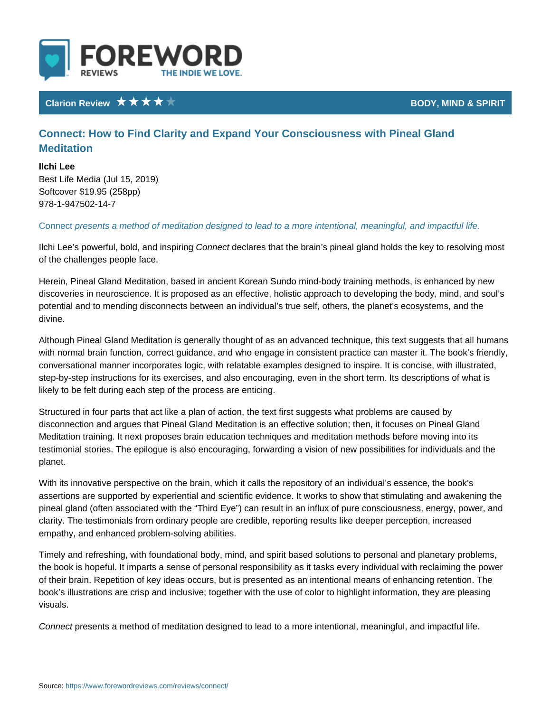## Clarion Review **BODY**, MIND &

Connect: How to Find Clarity and Expand Your Consciousness with Meditation

Ilchi Lee Best Life Media (Jul 15, 2019) Softcover \$19.95 (258pp) 978-1-947502-14-7

Conneptesents a method of meditation designed to lead to a more intentional, n

Ilchi Lee s powerful, bol $\mathfrak{C},$  and dimes pairreing that the brain s pineal gland holds the k of the challenges people face.

Herein, Pineal Gland Meditation, based in ancient Korean Sundo mind-body trai discoveries in neuroscience. It is proposed as an effective, holistic approach to potential and to mending disconnects between an individual s true self, others, divine.

Although Pineal Gland Meditation is generally thought of as an advanced techni with normal brain function, correct guidance, and who engage in consistent pra conversational manner incorporates logic, with relatable examples designed to step-by-step instructions for its exercises, and also encouraging, even in the s likely to be felt during each step of the process are enticing.

Structured in four parts that act like a plan of action, the text first suggests wl disconnection and argues that Pineal Gland Meditation is an effective solution; Meditation training. It next proposes brain education techniques and meditation testimonial stories. The epilogue is also encouraging, forwarding a vision of ne planet.

With its innovative perspective on the brain, which it calls the repository of an assertions are supported by experiential and scientific evidence. It works to sh pineal gland (often associated with the Third Eye ) can result in an influx of p clarity. The testimonials from ordinary people are credible, reporting results lil empathy, and enhanced problem-solving abilities.

Timely and refreshing, with foundational body, mind, and spirit based solutions the book is hopeful. It imparts a sense of personal responsibility as it tasks ev of their brain. Repetition of key ideas occurs, but is presented as an intentiona book s illustrations are crisp and inclusive; together with the use of color to hi visuals.

Conneptesents a method of meditation designed to lead to a more intentional, n